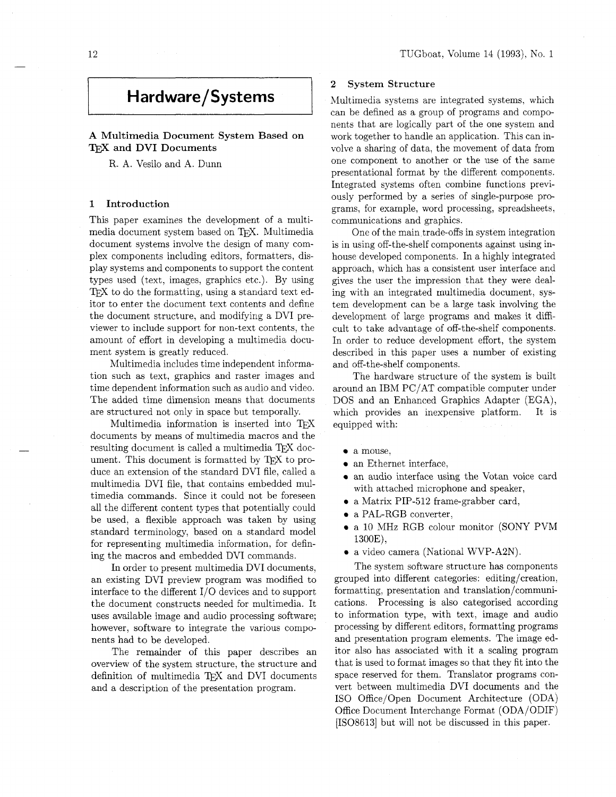# **Hardware/Systems**

# **A** Multimedia Document System Based on TEX and DVI Documents

R. A. Vesilo and A. Dunn

# 1 Introduction

This paper examines the development of a multimedia document system based on TFX. Multimedia document systems involve the design of many complex components including editors, formatters, display systems and components to support the content types used (text, images, graphics etc.). By using T<sub>F</sub>X to do the formatting, using a standard text editor to enter the document text contents and define the document structure, and modifying a DVI previewer to include support for non-text contents, the amount of effort in developing a multimedia document system is greatly reduced.

Multimedia includes time independent information such as text, graphics and raster images and time dependent information such as audio and video. The added time dimension means that documents are structured not only in space but temporally.

Multimedia information is inserted into TFX documents by means of multimedia macros and the resulting document is called a multimedia TEX document. This document is formatted by  $T\not\!\!\!\nabla$  to produce an extension of the standard DVI file, called a multimedia DVI file, that contains embedded multimedia commands. Since it could not be foreseen all the different content types that potentially could be used. a flexible approach was taken by using standard terminology, based on a standard model for representing multimedia information, for defining the macros and embedded DVI commands.

In order to present multimedia DVI documents, an existing DVI preview program was modified to interface to the different  $I/O$  devices and to support the document constructs needed for multimedia. It uses available image and audio processing software; however, software to integrate the various components had to be developed.

The remainder of this paper describes an overview of the system structure, the structure and definition of multimedia TFX and DVI documents and a description of the presentation program.

# **2** System Structure

Multimedia systems are integrated systems, which can be defined as a group of programs and components that are logically part of the one system and work together to handle an application. This can involve a sharing of data, the movement of data from one component to another or the use of the same presentational format by the different components. Integrated systems often combine functions previously performed by a series of single-purpose programs, for example, word processing, spreadsheets, communications and graphics.

One of the main trade-offs in system integration is in using off-the-shelf components against using inhouse developed components. In a highly integrated approach, which has a consistent user interface and gives the user the impression that they were dealing with an integrated multimedia document, system development can be a large task involving the development of large programs and makes it difficult to take advantage of off-the-shelf components. In order to reduce development effort, the system described in this paper uses a number of existing and off-the-shelf components.

The hardware structure of the system is built around an IBM PC/AT compatible computer under DOS and an Enhanced Graphics Adapter (EGA), which provides an inexpensive platform. It is equipped with:

- a mouse.
- an Ethernet interface,
- an audio interface using the Votan voice card with attached microphone and speaker,
- a Matrix PIP-512 frame-grabber card,
- a PAL-RGB converter,
- a 10 MHz RGB colour monitor (SONY PVM l3OOE),
- a video camera (National WVP-A2N).

The system software structure has components grouped into different categories: editing/creation, formatting, presentation and translation/communications. Processing is also categorised according to information type, with text, image and audio processing by different editors, formatting programs and presentation program elements. The image editor also has associated with it a scaling program that is used to format images so that they fit into the space reserved for them. Translator programs convert between multimedia DVI documents and the IS0 Office/Open Document Architecture (ODA) Office Document Interchange Format (ODA/ODIF) [IS086131 but will not be discussed in this paper.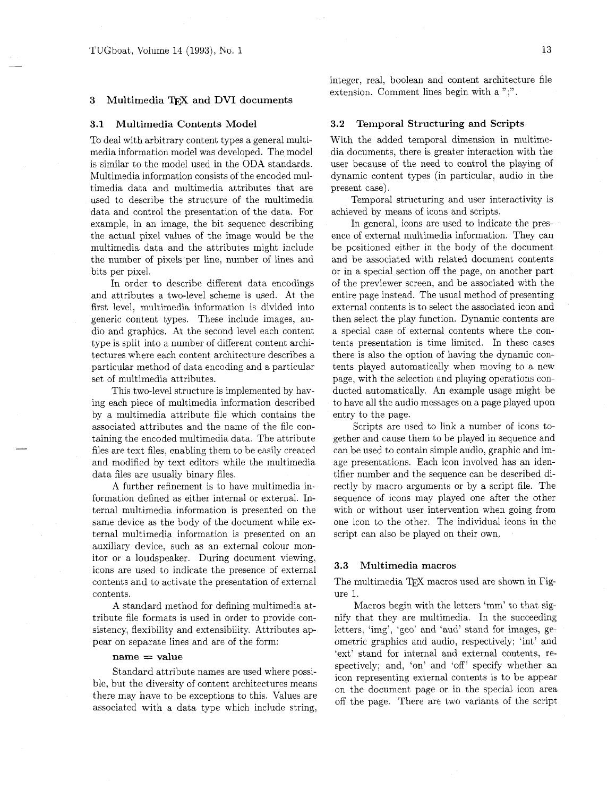## 3 Multimedia TEX and DVI documents

#### **3.1** Multimedia Contents Model

To deal with arbitrary content types a general multimedia information model was developed. The model is similar to the model used in the ODA standards. Multimedia information consists of the encoded multimedia data and multimedia attributes that are used to describe the structure of the multimedia data and control the presentation of the data. For example, in an image, the bit sequence describing the actual pixel values of the image would be the multimedia data and the attributes might include the number of pixels per line, number of lines and bits per pixel.

In order to describe different data encodings and attributes a two-level scheme is used. At the first level, multimedia information is divided into generic content types. These include images, audio and graphics. At the second level each content type is split into a number of different content architectures where each content architecture describes a particular method of data encoding and a particular set of multimedia attributes.

This two-level structure is implemented by having each piece of multimedia information described by a multimedia attribute file which contains the associated attributes and the name of the file containing the encoded multimedia data. The attribute files are text files, enabling them to be easily created and modified by text editors while the multimedia data files are usually binary files.

A further refinement is to have multimedia information defined as either internal or external. Internal multimedia information is presented on the same device as the body of the document while external multimedia information is presented on an auxiliary device, such as an external colour monitor or a loudspeaker. During document viewing, icons are used to indicate the presence of external contents and to activate the presentation of external contents.

A standard method for defining multimedia attribute file formats is used in order to provide consistency, flexibility and extensibility. Attributes appear on separate lines and are of the form:

### $name = value$

Standard attribute names are used where possible, but the diversity of content architectures means there may have to be exceptions to this. Values are associated with a data type which include string,

integer, real, boolean and content architecture file extension. Comment lines begin with a ";".

## **3.2** Temporal Structuring and Scripts

With the added temporal dimension in multimedia documents, there is greater interaction with the user because of the need to control the playing of dynamic content types (in particular, audio in the present case).

Temporal structuring and user interactivity is achieved by means of icons and scripts.

In general, icons are used to indicate the presence of external multimedia information. They can be positioned either in the body of the document and be associated with related document contents or in a special section off the page, on another part of the previewer screen, and be associated with the entire page instead. The usual method of presenting external contents is to select the associated icon and then select the play function. Dynamic contents are a special case of external contents where the contents presentation is time limited. In these cases there is also the option of having the dynamic contents played automatically when moving to a new page, with the selection and playing operations conducted automatically. An example usage might be to have all the audio messages on a page played upon entry to the page.

Scripts are used to link a number of icons together and cause them to be played in sequence and can be used to contain simple audio, graphic and image presentations. Each icon involved has an identifier number and the sequence can be described directly by macro arguments or by a script file. The sequence of icons may played one after the other with or without user intervention when going from one icon to the other. The individual icons in the script can also be played on their own.

## **3.3** Multimedia macros

The multimedia TEX macros used are shown in Figure 1.

Macros begin with the letters 'mm' to that signify that they are multimedia. In the succeeding letters, 'img', 'geo' and 'aud' stand for images, geometric graphics and audio, respectively; 'int' and 'ext' stand for internal and external contents, respectively; and, 'on' and 'off' specify whether an icon representing external contents is to be appear on the document page or in the special icon area off the page. There are two variants of the script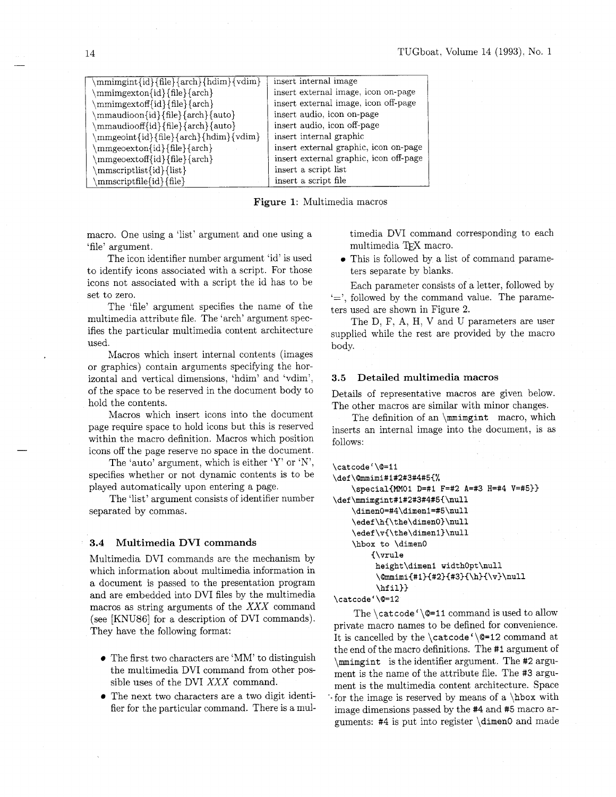| \mmimgint{id}{file}{arch}{hdim}{vdim} | insert internal image                  |
|---------------------------------------|----------------------------------------|
| \mmimgexton{id}{file}{arch}           | insert external image, icon on-page    |
| /mmimgextoff{id}{file}{arch}          | insert external image, icon off-page   |
| mmaudioon{id}{file}{arch}{auto}       | insert audio, icon on-page             |
| \mmaudiooff{id}{file}{arch}{auto}     | insert audio, icon off-page            |
| mmgeoint{id}{file}{arch}{hdim}{vdim}  | insert internal graphic                |
| \mmgeoexton{id}{file}{arch}           | insert external graphic, icon on-page  |
| mmgeoextoff{id}{file}{arch}           | insert external graphic, icon off-page |
| mmscriptlist{id}{list}                | insert a script list                   |
| mmscriptfile{id}{file}                | insert a script file                   |

**Figure 1:** Multimedia macros

macro. One using a 'list' argument and one using a 'file' argument.

The icon identifier number argument 'id' is used to identify icons associated with a script. For those icons not associated with a script the id has to be set to zero.

The 'file' argument specifies the name of the multimedia attribute file. The 'arch' argument specifies the particular multimedia content architecture used.

Macros which insert internal contents (images or graphics) contain arguments specifying the horizontal and vertical dimensions, 'hdim' and 'vdim', of the space to be reserved in the document body to hold the contents.

Macros which insert icons into the document page require space to hold icons but this is reserved within the macro definition. Macros which position icons off the page reserve no space in the document.

The 'auto' argument, which is either 'Y' or 'N', specifies whether or not dynamic contents is to be played automatically upon entering a page.

The 'list' argument consists of identifier number separated by commas.

## **3.4 Multimedia DVI commands**

Multimedia DVI commands are the mechanism by which information about multimedia information in a document is passed to the presentation program and are embedded into DVI files by the multimedia macros as string arguments of the XXX command (see [KNU86] for a description of DVI commands). They have the following format:

- The first two characters are 'MM' to distinguish the multimedia DVI command from other possible uses of the DVI XXX command.
- The next two characters are a two digit identifier for the particular command. There is a mul-

timedia DVI command corresponding to each multimedia TFX macro.

This is followed by a list of command parameters separate by blanks.

Each parameter consists of a letter, followed by  $\leftarrow$ , followed by the command value. The parameters used are shown in Figure 2.

The D, F, A, H, V and U parameters are user supplied while the rest are provided by the macro body.

## **3.5 Detailed multimedia macros**

Details of representative macros are given below. The other macros are similar with minor changes.

The definition of an **\mmimgint** macro, which inserts an internal image into the document, is as follows:

```
\catcode '\@=I1 
\def\@mmimi#l#2#3#4#5{% 
    \special{MMOl D=#l F=#2 A=#3 H=#4 V=#5)) 
\def\mmimgint#1#2#3#4#5{\null
    \dimen0=#4\dimenl=#5\null 
    \edef\hC\the\dimenO)\null 
    \edef\v(\the\dimenl)\null 
    \hbox to \dimen0 
        {\vrule 
         height\dimenl widthOpt\null 
         \@mmimi{#1}{#2}{#3}{\h}{\v}\null
         \hf il)) 
\catcoder\@=12
```
The **\cat code '\@=I1** command is used to allow private macro names to be defined for convenience. It is cancelled by the **\catcode'\Q=12** command at the end of the macro definitions. The **#I** argument of **\mrnimgint** is the identifier argument. The **#2** argument is the name of the attribute file. The **#3** argument is the multimedia content architecture. Space '-for the image is reserved by means of a **\hbox** with image dimensions passed by the #4 and **#5** macro arguments: #4 is put into register **\dimen0** and made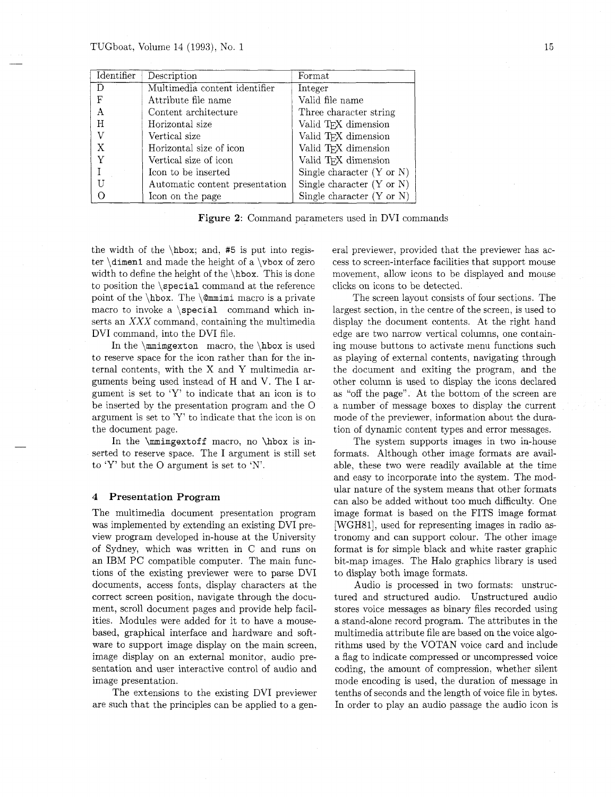| Identifier | Description                    | Format                               |
|------------|--------------------------------|--------------------------------------|
|            | Multimedia content identifier  | Integer                              |
| F          | Attribute file name            | Valid file name                      |
| A          | Content architecture           | Three character string               |
| Н          | Horizontal size                | Valid TFX dimension                  |
| V          | Vertical size                  | Valid TFX dimension                  |
| Х          | Horizontal size of icon        | Valid TFX dimension                  |
|            | Vertical size of icon          | Valid T <sub>F</sub> X dimension     |
|            | Icon to be inserted            | Single character $(Y \text{ or } N)$ |
|            | Automatic content presentation | Single character $(Y \text{ or } N)$ |
|            | Icon on the page               | Single character $(Y \text{ or } N)$ |

Figure **2:** Command parameters used in DVI commands

the width of the  $hbox$ ; and, #5 is put into register  $\dim$  and made the height of a  $\forall$  vbox of zero width to define the height of the  $hbox$ . This is done to position the \special command at the reference point of the  $\hbar$ . The  $\@mmim$ imi macro is a private macro to invoke a \special command which inserts an XXX command, containing the multimedia DVI command, into the DVI file.

In the  $\mathrm{H}$  macro, the  $\mathrm{h}$  box is used to reserve space for the icon rather than for the internal contents, with the X and Y multimedia arguments being used instead of H and V. The I argument is set to 'Y' to indicate that an icon is to be inserted by the presentation program and the 0 argument is set to 'Y' to indicate that the icon is on the document page.

In the **\mimgextoff** macro, no **\hbox** is inserted to reserve space. The I argument is still set to 'Y' but the 0 argument is set to 'N'.

#### 4 Presentation Program

The multimedia document presentation program was implemented by extending an existing DVI preview program developed in-house at the University of Sydney, which was written in C and runs on an IBM PC compatible computer. The main functions of the existing previewer were to parse DVI documents, access fonts, display characters at the correct screen position, navigate through the document, scroll document pages and provide help facilities. Modules were added for it to have a mousebased, graphical interface and hardware and software to support image display on the main screen, image display on an external monitor, audio presentation and user interactive control of audio and image presentation.

The extensions to the existing DVI previewer are such that the principles can be applied to a general previewer, provided that the previewer has access to screen-interface facilities that support mouse movement, allow icons to be displayed and mouse clicks on icons to be detected.

The screen layout consists of four sections. The largest section, in the centre of the screen, is used to display the document contents. At the right hand edge are two narrow vertical columns, one containing mouse buttons to activate menu functions such as playing of external contents, navigating through the document and exiting the program, and the other column is used to display the icons declared as "off the page". At the bottom of the screen are a number of message boxes to display the current mode of the previewer, information about the duration of dynamic content types and error messages.

The system supports images in two in-house formats. Although other image formats are available, these two were readily available at the time and easy to incorporate into the system. The modular nature of the system means that other formats can also be added without too much difficulty. One image format is based on the FITS image format [WGH81], used for representing images in radio astronomy and can support colour. The other image format is for simple black and white raster graphic bit-map images. The Halo graphics library is used to display both image formats.

Audio is processed in two formats: unstructured and structured audio. Unstructured audio stores voice messages as binary files recorded using a stand-alone record program. The attributes in the multimedia attribute file are based on the voice algorithms used by the VOTAN voice card and include a flag to indicate compressed or uncompressed voice coding, the amount of compression, whether silent mode encoding is used, the duration of message in tenths of seconds and the length of voice file in bytes. In order to play an audio passage the audio icon is